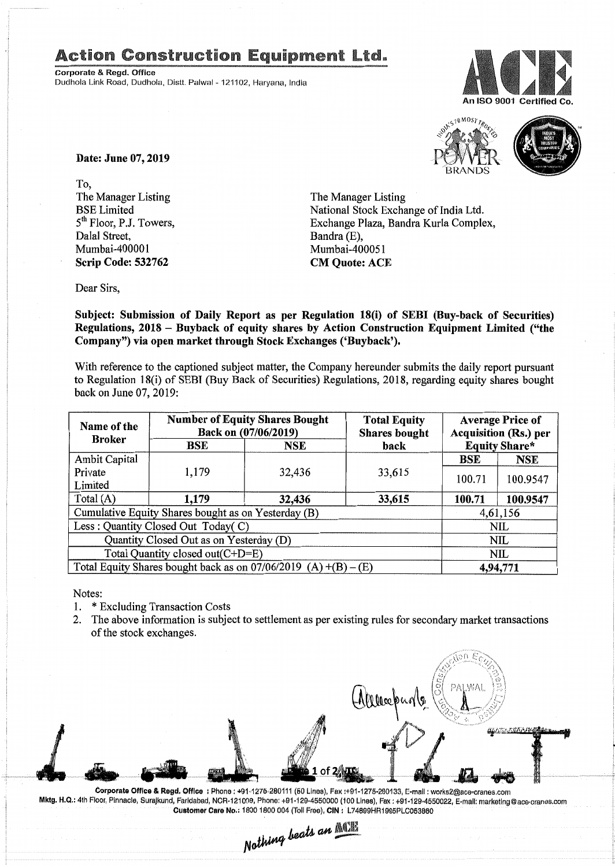## **Action Construction Equipment Ltd.**

Corporate & Regd. Office Dudhola Link Road, Dudhola, Distt. Palwal - 121102, Haryana, India





Date: June 07, 2019

To, The Manager Listing BSE Limited  $5<sup>th</sup>$  Floor, P.J. Towers, Dalal Street, Mumbai-400001 Scrip Code: 532762

The Manager Listing National Stock Exchange of India Ltd. Exchange Plaza, Bandra Kuria Complex, Bandra (E), Mumbai-400051 CM Quote: ACE

Dear Sirs,

Subject: Submission of Daily Report as per Regulation 18(i) of SEBI (Buy-back of Securities) Regulations, 2018 - Buyback of equity shares by Action Construction Equipment Limited ("the Company") via open market through Stock Exchanges ('Buyback').

With reference to the captioned subject matter, the Company hereunder submits the daily report pursuant to Regulation 18(i) of SEBI (Buy Back of Securities) Regulations, 2018, regarding equity shares bought back on June 07,2019:

| Name of the<br><b>Broker</b>                                      | <b>Number of Equity Shares Bought</b><br>Back on (07/06/2019) |        | <b>Total Equity</b><br><b>Shares bought</b> | <b>Average Price of</b><br>Acquisition (Rs.) per |                      |
|-------------------------------------------------------------------|---------------------------------------------------------------|--------|---------------------------------------------|--------------------------------------------------|----------------------|
|                                                                   | BSE                                                           | NSE    | back                                        |                                                  | <b>Equity Share*</b> |
| <b>Ambit Capital</b>                                              |                                                               |        |                                             | <b>BSE</b>                                       | <b>NSE</b>           |
| Private                                                           | 1,179                                                         | 32,436 | 33,615                                      | 100.71                                           | 100.9547             |
| Limited                                                           |                                                               |        |                                             |                                                  |                      |
| Total (A)                                                         | 1,179                                                         | 32,436 | 33,615                                      | 100.71                                           | 100.9547             |
| Cumulative Equity Shares bought as on Yesterday (B)               |                                                               |        |                                             | 4,61,156                                         |                      |
| Less: Quantity Closed Out Today(C)                                |                                                               |        |                                             | <b>NIL</b>                                       |                      |
| Quantity Closed Out as on Yesterday (D)                           |                                                               |        |                                             | NIL                                              |                      |
| Total Quantity closed out(C+D=E)                                  |                                                               |        |                                             | NIL                                              |                      |
| Total Equity Shares bought back as on $07/06/2019$ (A) +(B) – (E) |                                                               |        |                                             | 4,94,771                                         |                      |

Notes:

- 1. \* Excluding Transaction Costs
- 2. The above information is subject to settlement as per existing rules for secondary market transactions of the stock exchanges.



Corporate Office & Regd. Office: Phone: +91-1276-280111 (50 Lines), Fax:+91-1275-280133, E-mail: works2@ace-cranes.com Mktg. H.Q.: 4th Floor, Pinnacle, SuraJkund, Farldabad, NCR·121009,Phone: +91·129·4550000 (100 Lines), Fax: +91-129·4550022,E-mail: marketlng@ace.cranes.com Customer Care No.: 1800 1800 004 (Toll Free), CIN: L74899HR1995PLC053860

Nothing beats an **ACTE**